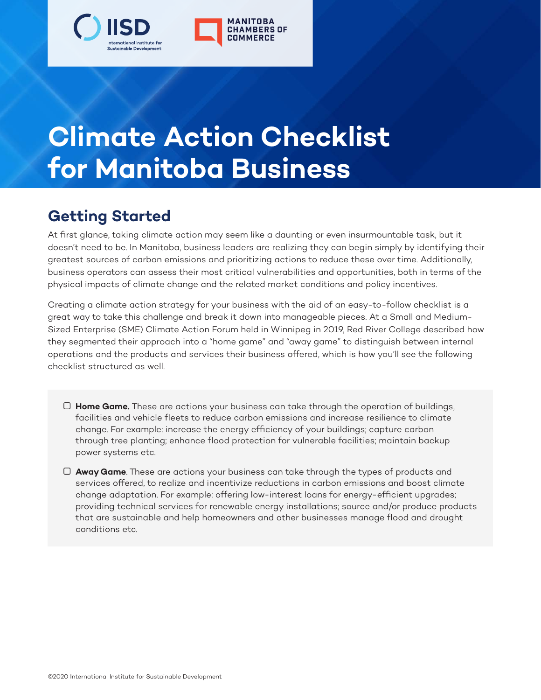

# **Climate Action Checklist for Manitoba Business**

# **Getting Started**

At first glance, taking climate action may seem like a daunting or even insurmountable task, but it doesn't need to be. In Manitoba, business leaders are realizing they can begin simply by identifying their greatest sources of carbon emissions and prioritizing actions to reduce these over time. Additionally, business operators can assess their most critical vulnerabilities and opportunities, both in terms of the physical impacts of climate change and the related market conditions and policy incentives.

Creating a climate action strategy for your business with the aid of an easy-to-follow checklist is a great way to take this challenge and break it down into manageable pieces. At a Small and Medium-Sized Enterprise (SME) Climate Action Forum held in Winnipeg in 2019, Red River College described how they segmented their approach into a "home game" and "away game" to distinguish between internal operations and the products and services their business offered, which is how you'll see the following checklist structured as well.

- **Home Game.** These are actions your business can take through the operation of buildings, facilities and vehicle fleets to reduce carbon emissions and increase resilience to climate change. For example: increase the energy efficiency of your buildings; capture carbon through tree planting; enhance flood protection for vulnerable facilities; maintain backup power systems etc.
- **Away Game**. These are actions your business can take through the types of products and services offered, to realize and incentivize reductions in carbon emissions and boost climate change adaptation. For example: offering low-interest loans for energy-efficient upgrades; providing technical services for renewable energy installations; source and/or produce products that are sustainable and help homeowners and other businesses manage flood and drought conditions etc.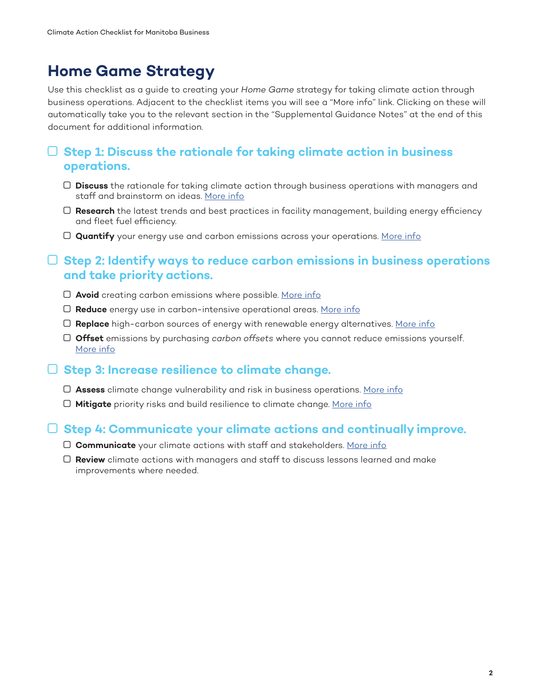# **Home Game Strategy**

Use this checklist as a guide to creating your *Home Game* strategy for taking climate action through business operations. Adjacent to the checklist items you will see a "More info" link. Clicking on these will automatically take you to the relevant section in the "Supplemental Guidance Notes" at the end of this document for additional information.

## **Step 1: Discuss the rationale for taking climate action in business operations.**

- **Discuss** the rationale for taking climate action through business operations with managers and staff and brainstorm on ideas. [More info](#page-3-0)
- **Research** the latest trends and best practices in facility management, building energy efficiency and fleet fuel efficiency.
- **Quantify** your energy use and carbon emissions across your operations. More info

#### **Step 2: Identify ways to reduce carbon emissions in business operations and take priority actions.**

- **Avoid** creating carbon emissions where possible. [More info](#page-3-0)
- **Reduce** energy use in carbon-intensive operational areas. [More info](#page-3-0)
- **Replace** high-carbon sources of energy with renewable energy alternatives. [More info](#page-3-0)
- **Offset** emissions by purchasing *carbon offsets* where you cannot reduce emissions yourself. [More info](#page-3-0)

#### **Step 3: Increase resilience to climate change.**

- **Assess** climate change vulnerability and risk in business operations. [More info](#page-4-0)
- **Mitigate** priority risks and build resilience to climate change. [More info](#page-4-0)

#### **Step 4: Communicate your climate actions and continually improve.**

- **Communicate** your climate actions with staff and stakeholders. [More info](#page-4-0)
- **Review** climate actions with managers and staff to discuss lessons learned and make improvements where needed.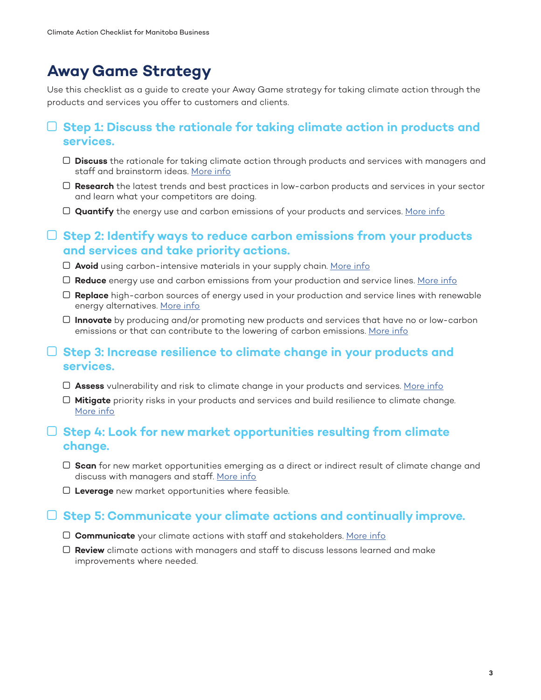# **Away Game Strategy**

Use this checklist as a guide to create your Away Game strategy for taking climate action through the products and services you offer to customers and clients.

#### **Step 1: Discuss the rationale for taking climate action in products and services.**

- **Discuss** the rationale for taking climate action through products and services with managers and staff and brainstorm ideas. [More info](#page-4-0)
- **Research** the latest trends and best practices in low-carbon products and services in your sector and learn what your competitors are doing.
- **Quantify** the energy use and carbon emissions of your products and services. [More info](#page-4-0)

#### **Step 2: Identify ways to reduce carbon emissions from your products and services and take priority actions.**

- □ **Avoid** using carbon-intensive materials in your supply chain. [More info](#page-5-0)
- **Reduce** energy use and carbon emissions from your production and service lines. [More info](#page-5-0)
- **Replace** high-carbon sources of energy used in your production and service lines with renewable energy alternatives. [More info](#page-5-0)
- **Innovate** by producing and/or promoting new products and services that have no or low-carbon emissions or that can contribute to the lowering of carbon emissions. [More info](#page-5-0)r

#### **Step 3: Increase resilience to climate change in your products and services.**

- **Assess** vulnerability and risk to climate change in your products and services. [More info](#page-6-0)
- **Mitigate** priority risks in your products and services and build resilience to climate change. [More info](#page-6-0)

#### **Step 4: Look for new market opportunities resulting from climate change.**

- **Scan** for new market opportunities emerging as a direct or indirect result of climate change and discuss with managers and staff. [More info](#page-6-0)
- **Leverage** new market opportunities where feasible.

#### **Step 5: Communicate your climate actions and continually improve.**

- **Communicate** your climate actions with staff and stakeholders. [More info](#page-4-0)
- **Review** climate actions with managers and staff to discuss lessons learned and make improvements where needed.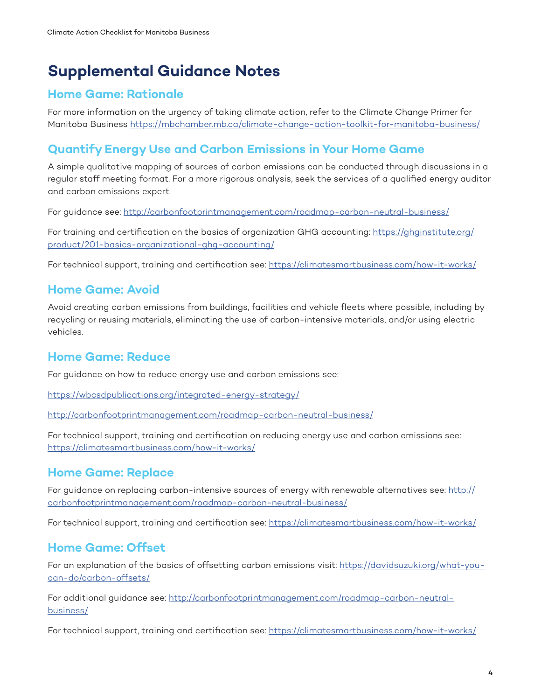# <span id="page-3-0"></span>**Supplemental Guidance Notes**

# **Home Game: Rationale**

For more information on the urgency of taking climate action, refer to the Climate Change Primer for Manitoba Business<https://mbchamber.mb.ca/climate-change-action-toolkit-for-manitoba-business/>

# **Quantify Energy Use and Carbon Emissions in Your Home Game**

A simple qualitative mapping of sources of carbon emissions can be conducted through discussions in a regular staff meeting format. For a more rigorous analysis, seek the services of a qualified energy auditor and carbon emissions expert.

For guidance see: <http://carbonfootprintmanagement.com/roadmap-carbon-neutral-business/>

For training and certification on the basics of organization GHG accounting: [https://ghginstitute.org/](https://ghginstitute.org/product/201-basics-organizational-ghg-accounting/) [product/201-basics-organizational-ghg-accounting/](https://ghginstitute.org/product/201-basics-organizational-ghg-accounting/)

For technical support, training and certification see:<https://climatesmartbusiness.com/how-it-works/>

## **Home Game: Avoid**

Avoid creating carbon emissions from buildings, facilities and vehicle fleets where possible, including by recycling or reusing materials, eliminating the use of carbon-intensive materials, and/or using electric vehicles.

# **Home Game: Reduce**

For guidance on how to reduce energy use and carbon emissions see:

<https://wbcsdpublications.org/integrated-energy-strategy/>

<http://carbonfootprintmanagement.com/roadmap-carbon-neutral-business/>

For technical support, training and certification on reducing energy use and carbon emissions see: <https://climatesmartbusiness.com/how-it-works/>

# **Home Game: Replace**

For guidance on replacing carbon-intensive sources of energy with renewable alternatives see: [http://](http://carbonfootprintmanagement.com/roadmap-carbon-neutral-business/) [carbonfootprintmanagement.com/roadmap-carbon-neutral-business/](http://carbonfootprintmanagement.com/roadmap-carbon-neutral-business/)

For technical support, training and certification see:<https://climatesmartbusiness.com/how-it-works/>

# **Home Game: Offset**

For an explanation of the basics of offsetting carbon emissions visit: [https://davidsuzuki.org/what-you](https://davidsuzuki.org/what-you-can-do/carbon-offsets/)[can-do/carbon-offsets/](https://davidsuzuki.org/what-you-can-do/carbon-offsets/)

For additional guidance see: [http://carbonfootprintmanagement.com/roadmap-carbon-neutral](http://carbonfootprintmanagement.com/roadmap-carbon-neutral-business/)[business/](http://carbonfootprintmanagement.com/roadmap-carbon-neutral-business/)

For technical support, training and certification see:<https://climatesmartbusiness.com/how-it-works/>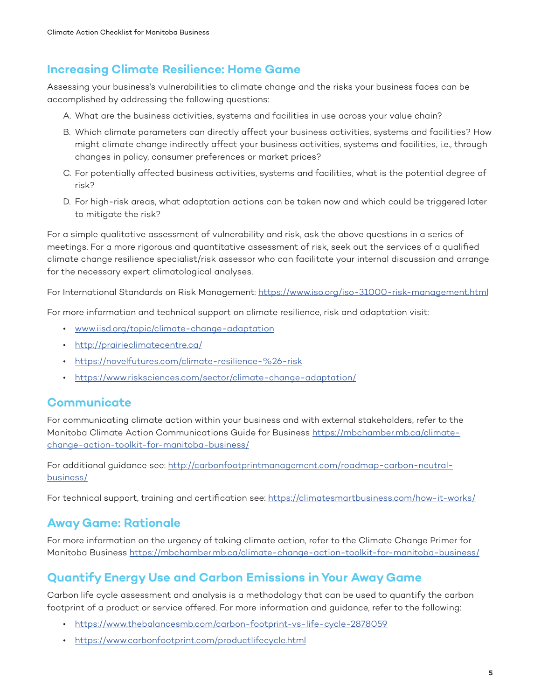# <span id="page-4-0"></span>**Increasing Climate Resilience: Home Game**

Assessing your business's vulnerabilities to climate change and the risks your business faces can be accomplished by addressing the following questions:

- A. What are the business activities, systems and facilities in use across your value chain?
- B. Which climate parameters can directly affect your business activities, systems and facilities? How might climate change indirectly affect your business activities, systems and facilities, i.e., through changes in policy, consumer preferences or market prices?
- C. For potentially affected business activities, systems and facilities, what is the potential degree of risk?
- D. For high-risk areas, what adaptation actions can be taken now and which could be triggered later to mitigate the risk?

For a simple qualitative assessment of vulnerability and risk, ask the above questions in a series of meetings. For a more rigorous and quantitative assessment of risk, seek out the services of a qualified climate change resilience specialist/risk assessor who can facilitate your internal discussion and arrange for the necessary expert climatological analyses.

For International Standards on Risk Management:<https://www.iso.org/iso-31000-risk-management.html>

For more information and technical support on climate resilience, risk and adaptation visit:

- [www.iisd.org/topic/climate-change-adaptation](http://www.iisd.org/topic/climate-change-adaptation)
- <http://prairieclimatecentre.ca/>
- <https://novelfutures.com/climate-resilience-%26-risk>
- <https://www.risksciences.com/sector/climate-change-adaptation/>

#### **Communicate**

For communicating climate action within your business and with external stakeholders, refer to the Manitoba Climate Action Communications Guide for Business [https://mbchamber.mb.ca/climate](https://mbchamber.mb.ca/climate-change-action-toolkit-for-manitoba-business/)[change-action-toolkit-for-manitoba-business/](https://mbchamber.mb.ca/climate-change-action-toolkit-for-manitoba-business/)

For additional guidance see: [http://carbonfootprintmanagement.com/roadmap-carbon-neutral](http://carbonfootprintmanagement.com/roadmap-carbon-neutral-business/)[business/](http://carbonfootprintmanagement.com/roadmap-carbon-neutral-business/)

For technical support, training and certification see: <https://climatesmartbusiness.com/how-it-works/>

#### **Away Game: Rationale**

For more information on the urgency of taking climate action, refer to the Climate Change Primer for Manitoba Business <https://mbchamber.mb.ca/climate-change-action-toolkit-for-manitoba-business/>

# **Quantify Energy Use and Carbon Emissions in Your Away Game**

Carbon life cycle assessment and analysis is a methodology that can be used to quantify the carbon footprint of a product or service offered. For more information and guidance, refer to the following:

- <https://www.thebalancesmb.com/carbon-footprint-vs-life-cycle-2878059>
- <https://www.carbonfootprint.com/productlifecycle.html>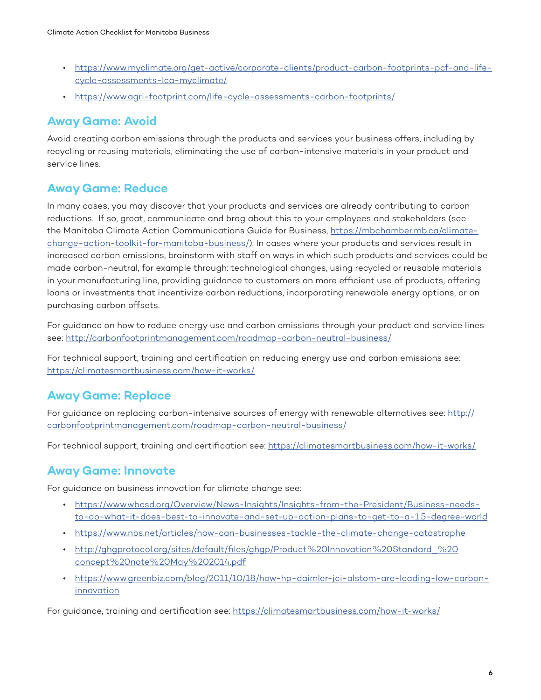- <span id="page-5-0"></span>• [https://www.myclimate.org/get-active/corporate-clients/product-carbon-footprints-pcf-and-life](https://www.myclimate.org/get-active/corporate-clients/product-carbon-footprints-pcf-and-life-cycle-assessments-lca-myclimate/)[cycle-assessments-lca-myclimate/](https://www.myclimate.org/get-active/corporate-clients/product-carbon-footprints-pcf-and-life-cycle-assessments-lca-myclimate/)
- <https://www.agri-footprint.com/life-cycle-assessments-carbon-footprints/>

# **Away Game: Avoid**

Avoid creating carbon emissions through the products and services your business offers, including by recycling or reusing materials, eliminating the use of carbon-intensive materials in your product and service lines.

## **Away Game: Reduce**

In many cases, you may discover that your products and services are already contributing to carbon reductions. If so, great, communicate and brag about this to your employees and stakeholders (see the Manitoba Climate Action Communications Guide for Business, [https://mbchamber.mb.ca/climate](https://mbchamber.mb.ca/climate-change-action-toolkit-for-manitoba-business/)[change-action-toolkit-for-manitoba-business/](https://mbchamber.mb.ca/climate-change-action-toolkit-for-manitoba-business/)). In cases where your products and services result in increased carbon emissions, brainstorm with staff on ways in which such products and services could be made carbon-neutral, for example through: technological changes, using recycled or reusable materials in your manufacturing line, providing guidance to customers on more efficient use of products, offering loans or investments that incentivize carbon reductions, incorporating renewable energy options, or on purchasing carbon offsets.

For guidance on how to reduce energy use and carbon emissions through your product and service lines see:<http://carbonfootprintmanagement.com/roadmap-carbon-neutral-business/>

For technical support, training and certification on reducing energy use and carbon emissions see: <https://climatesmartbusiness.com/how-it-works/>

# **Away Game: Replace**

For guidance on replacing carbon-intensive sources of energy with renewable alternatives see: [http://](http://carbonfootprintmanagement.com/roadmap-carbon-neutral-business/) [carbonfootprintmanagement.com/roadmap-carbon-neutral-business/](http://carbonfootprintmanagement.com/roadmap-carbon-neutral-business/)

For technical support, training and certification see: <https://climatesmartbusiness.com/how-it-works/>

#### **Away Game: Innovate**

For guidance on business innovation for climate change see:

- [https://www.wbcsd.org/Overview/News-Insights/Insights-from-the-President/Business-needs](https://www.wbcsd.org/Overview/News-Insights/Insights-from-the-President/Business-needs-to-do-what-it-does-best-to-innovate-and-set-up-action-plans-to-get-to-a-1.5-degree-world)[to-do-what-it-does-best-to-innovate-and-set-up-action-plans-to-get-to-a-1.5-degree-world](https://www.wbcsd.org/Overview/News-Insights/Insights-from-the-President/Business-needs-to-do-what-it-does-best-to-innovate-and-set-up-action-plans-to-get-to-a-1.5-degree-world)
- <https://www.nbs.net/articles/how-can-businesses-tackle-the-climate-change-catastrophe>
- http://ghgprotocol.org/sites/default/files/ghgp/Product%20Innovation%20Standard %20 [concept%20note%20May%202014.pdf](http://ghgprotocol.org/sites/default/files/ghgp/Product%20Innovation%20Standard_%20concept%20note%20May%202014.pdf)
- [https://www.greenbiz.com/blog/2011/10/18/how-hp-daimler-jci-alstom-are-leading-low-carbon](https://www.greenbiz.com/blog/2011/10/18/how-hp-daimler-jci-alstom-are-leading-low-carbon-innovation)[innovation](https://www.greenbiz.com/blog/2011/10/18/how-hp-daimler-jci-alstom-are-leading-low-carbon-innovation)

For guidance, training and certification see: <https://climatesmartbusiness.com/how-it-works/>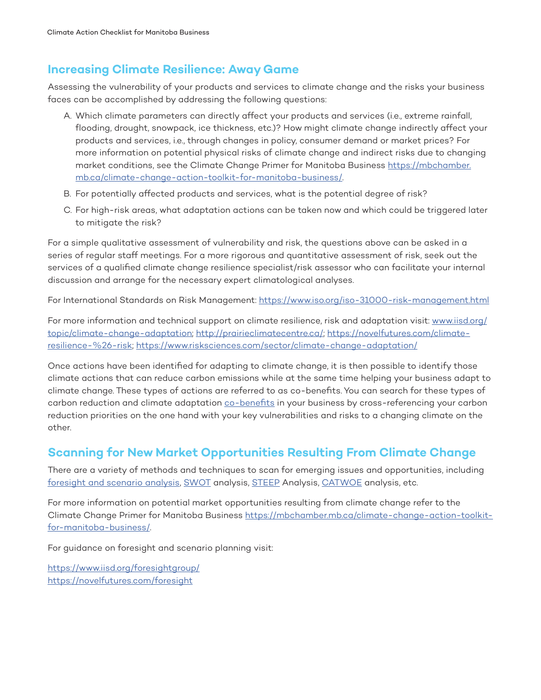# <span id="page-6-0"></span>**Increasing Climate Resilience: Away Game**

Assessing the vulnerability of your products and services to climate change and the risks your business faces can be accomplished by addressing the following questions:

- A. Which climate parameters can directly affect your products and services (i.e., extreme rainfall, flooding, drought, snowpack, ice thickness, etc.)? How might climate change indirectly affect your products and services, i.e., through changes in policy, consumer demand or market prices? For more information on potential physical risks of climate change and indirect risks due to changing market conditions, see the Climate Change Primer for Manitoba Business [https://mbchamber.](https://mbchamber.mb.ca/climate-change-action-toolkit-for-manitoba-business/) [mb.ca/climate-change-action-toolkit-for-manitoba-business/](https://mbchamber.mb.ca/climate-change-action-toolkit-for-manitoba-business/).
- B. For potentially affected products and services, what is the potential degree of risk?
- C. For high-risk areas, what adaptation actions can be taken now and which could be triggered later to mitigate the risk?

For a simple qualitative assessment of vulnerability and risk, the questions above can be asked in a series of regular staff meetings. For a more rigorous and quantitative assessment of risk, seek out the services of a qualified climate change resilience specialist/risk assessor who can facilitate your internal discussion and arrange for the necessary expert climatological analyses.

For International Standards on Risk Management:<https://www.iso.org/iso-31000-risk-management.html>

For more information and technical support on climate resilience, risk and adaptation visit: [www.iisd.org/](http://www.iisd.org/topic/climate-change-adaptation) [topic/climate-change-adaptation](http://www.iisd.org/topic/climate-change-adaptation); [http://prairieclimatecentre.ca/;](http://prairieclimatecentre.ca/) [https://novelfutures.com/climate](https://novelfutures.com/climate-resilience-%26-risk)[resilience-%26-risk;](https://novelfutures.com/climate-resilience-%26-risk)<https://www.risksciences.com/sector/climate-change-adaptation/>

Once actions have been identified for adapting to climate change, it is then possible to identify those climate actions that can reduce carbon emissions while at the same time helping your business adapt to climate change. These types of actions are referred to as co-benefits. You can search for these types of carbon reduction and climate adaptation [co-benefits](https://www.cbc.ca/news/technology/climate-change-mitigation-co-benefits-1.5205552) in your business by cross-referencing your carbon reduction priorities on the one hand with your key vulnerabilities and risks to a changing climate on the other.

#### **Scanning for New Market Opportunities Resulting From Climate Change**

There are a variety of methods and techniques to scan for emerging issues and opportunities, including [foresight and scenario analysis](https://www.iisd.org/foresightgroup/), [SWOT](https://www.thebalancesmb.com/swot-analysis-for-small-business-2951706) analysis, [STEEP](https://pestleanalysis.com/what-is-steep-analysis/) Analysis, [CATWOE](https://businesschange.co.za/what-is-catwoe-analysis/) analysis, etc.

For more information on potential market opportunities resulting from climate change refer to the Climate Change Primer for Manitoba Business [https://mbchamber.mb.ca/climate-change-action-toolkit](https://mbchamber.mb.ca/climate-change-action-toolkit-for-manitoba-business/)[for-manitoba-business/.](https://mbchamber.mb.ca/climate-change-action-toolkit-for-manitoba-business/)

For guidance on foresight and scenario planning visit:

<https://www.iisd.org/foresightgroup/> <https://novelfutures.com/foresight>